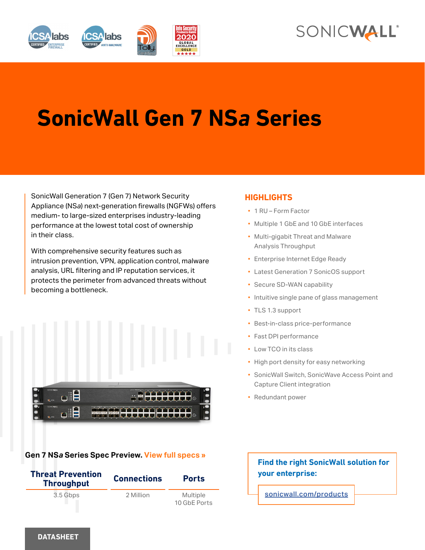



# **SonicWall Gen 7 NS***a* **Series**

SonicWall Generation 7 (Gen 7) Network Security Appliance (NS*a*) next-generation firewalls (NGFWs) offers medium- to large-sized enterprises industry-leading performance at the lowest total cost of ownership in their class.

With comprehensive security features such as intrusion prevention, VPN, application control, malware analysis, URL filtering and IP reputation services, it protects the perimeter from advanced threats without becoming a bottleneck.



# **Gen 7 NS***a* **Series Spec Preview. View full specs »**



# **HIGHLIGHTS**

- 1 RU Form Factor
- Multiple 1 GbE and 10 GbE interfaces
- Multi-gigabit Threat and Malware Analysis Throughput
- Enterprise Internet Edge Ready
- Latest Generation 7 SonicOS support
- Secure SD-WAN capability
- Intuitive single pane of glass management
- TLS 1.3 support
- Best-in-class price-performance
- Fast DPI performance
- Low TCO in its class
- High port density for easy networking
- SonicWall Switch, SonicWave Access Point and Capture Client integration
- Redundant power

# **Find the right SonicWall solution for your enterprise:**

sonicwall.com/products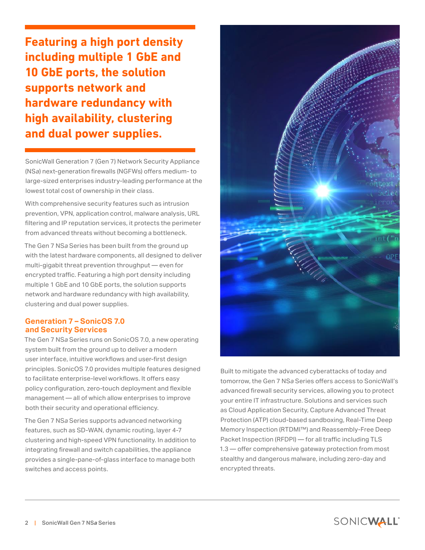**Featuring a high port density including multiple 1 GbE and 10 GbE ports, the solution supports network and hardware redundancy with high availability, clustering and dual power supplies.**

SonicWall Generation 7 (Gen 7) Network Security Appliance (NS*a*) next-generation firewalls (NGFWs) offers medium- to large-sized enterprises industry-leading performance at the lowest total cost of ownership in their class.

With comprehensive security features such as intrusion prevention, VPN, application control, malware analysis, URL filtering and IP reputation services, it protects the perimeter from advanced threats without becoming a bottleneck.

The Gen 7 NS*a* Series has been built from the ground up with the latest hardware components, all designed to deliver multi-gigabit threat prevention throughput — even for encrypted traffic. Featuring a high port density including multiple 1 GbE and 10 GbE ports, the solution supports network and hardware redundancy with high availability, clustering and dual power supplies.

## **Generation 7 – SonicOS 7.0 and Security Services**

The Gen 7 NS*a* Series runs on SonicOS 7.0, a new operating system built from the ground up to deliver a modern user interface, intuitive workflows and user-first design principles. SonicOS 7.0 provides multiple features designed to facilitate enterprise-level workflows. It offers easy policy configuration, zero-touch deployment and flexible management — all of which allow enterprises to improve both their security and operational efficiency.

The Gen 7 NS*a* Series supports advanced networking features, such as SD-WAN, dynamic routing, layer 4-7 clustering and high-speed VPN functionality. In addition to integrating firewall and switch capabilities, the appliance provides a single-pane-of-glass interface to manage both switches and access points.



Built to mitigate the advanced cyberattacks of today and tomorrow, the Gen 7 NS*a* Series offers access to SonicWall's advanced firewall security services, allowing you to protect your entire IT infrastructure. Solutions and services such as Cloud Application Security, Capture Advanced Threat Protection (ATP) cloud-based sandboxing, Real-Time Deep Memory Inspection (RTDMI™) and Reassembly-Free Deep Packet Inspection (RFDPI) — for all traffic including TLS 1.3 — offer comprehensive gateway protection from most stealthy and dangerous malware, including zero-day and encrypted threats.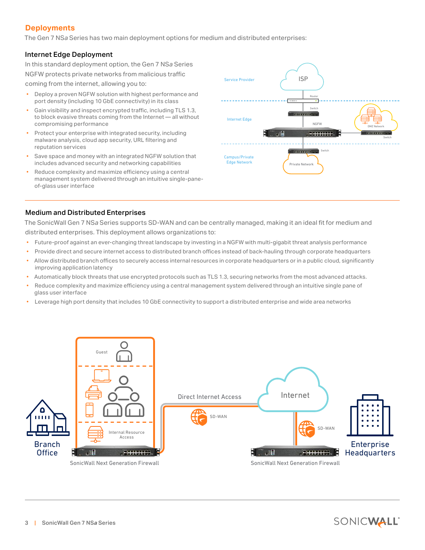# **Deployments**

 $\overline{a}$ 

The Gen 7 NS*a* Series has two main deployment options for medium and distributed enterprises:

#### Internet Edge Deployment

In this standard deployment option, the Gen 7 NS*a* Series NGFW protects private networks from malicious traffic coming from the internet, allowing you to:

- Deploy a proven NGFW solution with highest performance and port density (including 10 GbE connectivity) in its class
- Gain visibility and inspect encrypted traffic, including TLS 1.3, to block evasive threats coming from the Internet — all without compromising performance
- Protect your enterprise with integrated security, including malware analysis, cloud app security, URL filtering and reputation services
- Save space and money with an integrated NGFW solution that includes advanced security and networking capabilities
- Reduce complexity and maximize efficiency using a central management system delivered through an intuitive single-paneof-glass user interface



#### Medium and Distributed Enterprises

The SonicWall Gen 7 NS*a* Series supports SD-WAN and can be centrally managed, making it an ideal fit for medium and distributed enterprises. This deployment allows organizations to:

- Future-proof against an ever-changing threat landscape by investing in a NGFW with multi-gigabit threat analysis performance
- Provide direct and secure internet access to distributed branch offices instead of back-hauling through corporate headquarters
- Allow distributed branch offices to securely access internal resources in corporate headquarters or in a public cloud, significantly improving application latency
- Automatically block threats that use encrypted protocols such as TLS 1.3, securing networks from the most advanced attacks.
- Reduce complexity and maximize efficiency using a central management system delivered through an intuitive single pane of glass user interface
- Leverage high port density that includes 10 GbE connectivity to support a distributed enterprise and wide area networks



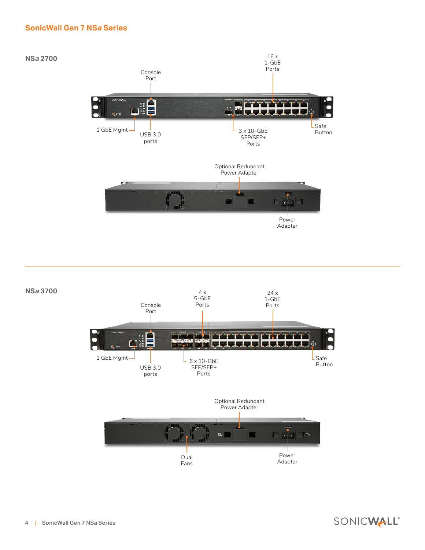## **SonicWall Gen 7 NS***a* **Series**





4 | SonicWall Gen 7 NS*a* Series

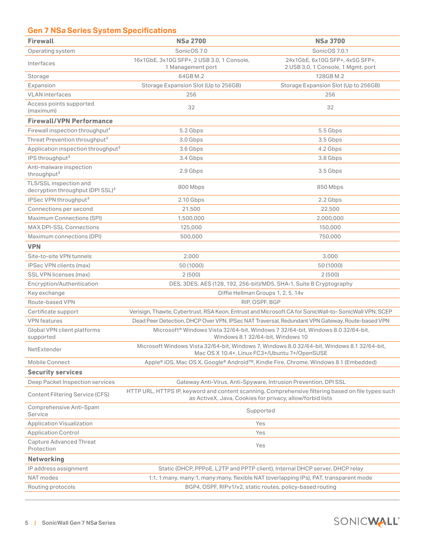# **Gen 7 NS***a* **Series System Specifications**

| <b>Firewall</b>                                                        | <b>NSa 2700</b>                                                                                                                                                 | <b>NSa 3700</b>                                                       |
|------------------------------------------------------------------------|-----------------------------------------------------------------------------------------------------------------------------------------------------------------|-----------------------------------------------------------------------|
| Operating system                                                       | SonicOS 7.0                                                                                                                                                     | SonicOS 7.0.1                                                         |
| Interfaces                                                             | 16x1GbE, 3x10G SFP+, 2 USB 3.0, 1 Console,<br>1 Management port                                                                                                 | 24x1GbE, 6x10G SFP+, 4x5G SFP+,<br>2 USB 3.0, 1 Console, 1 Mgmt. port |
| Storage                                                                | 64GB M.2                                                                                                                                                        | 128GB M.2                                                             |
| Expansion                                                              | Storage Expansion Slot (Up to 256GB)                                                                                                                            | Storage Expansion Slot (Up to 256GB)                                  |
| <b>VLAN</b> interfaces                                                 | 256                                                                                                                                                             | 256                                                                   |
| Access points supported<br>(maximum)                                   | 32                                                                                                                                                              | 32                                                                    |
| <b>Firewall/VPN Performance</b>                                        |                                                                                                                                                                 |                                                                       |
| Firewall inspection throughput <sup>1</sup>                            | 5.2 Gbps                                                                                                                                                        | 5.5 Gbps                                                              |
| Threat Prevention throughput <sup>2</sup>                              | 3.0 Gbps                                                                                                                                                        | 3.5 Gbps                                                              |
| Application inspection throughput <sup>2</sup>                         | 3.6 Gbps                                                                                                                                                        | 4.2 Gbps                                                              |
| IPS throughput <sup>2</sup>                                            | 3.4 Gbps                                                                                                                                                        | 3.8 Gbps                                                              |
| Anti-malware inspection<br>throughput <sup>2</sup>                     | 2.9 Gbps                                                                                                                                                        | 3.5 Gbps                                                              |
| TLS/SSL inspection and<br>decryption throughput (DPI SSL) <sup>2</sup> | 800 Mbps                                                                                                                                                        | 850 Mbps                                                              |
| IPSec VPN throughput <sup>3</sup>                                      | 2.10 Gbps                                                                                                                                                       | 2.2 Gbps                                                              |
| Connections per second                                                 | 21,500                                                                                                                                                          | 22,500                                                                |
| Maximum Connections (SPI)                                              | 1,500,000                                                                                                                                                       | 2,000,000                                                             |
| <b>MAX DPI-SSL Connections</b>                                         | 125,000                                                                                                                                                         | 150,000                                                               |
| Maximum connections (DPI)                                              | 500,000                                                                                                                                                         | 750,000                                                               |
| <b>VPN</b>                                                             |                                                                                                                                                                 |                                                                       |
| Site-to-site VPN tunnels                                               | 2,000                                                                                                                                                           | 3,000                                                                 |
| IPSec VPN clients (max)                                                | 50 (1000)                                                                                                                                                       | 50 (1000)                                                             |
| SSL VPN licenses (max)                                                 | 2(500)                                                                                                                                                          | 2(500)                                                                |
| Encryption/Authentication                                              | DES, 3DES, AES (128, 192, 256-bit)/MD5, SHA-1, Suite B Cryptography                                                                                             |                                                                       |
| Key exchange                                                           | Diffie Hellman Groups 1, 2, 5, 14v                                                                                                                              |                                                                       |
| Route-based VPN                                                        | RIP, OSPF, BGP                                                                                                                                                  |                                                                       |
| Certificate support                                                    | Verisign, Thawte, Cybertrust, RSA Keon, Entrust and Microsoft CA for SonicWall-to-SonicWall VPN, SCEP                                                           |                                                                       |
| <b>VPN</b> features                                                    | Dead Peer Detection, DHCP Over VPN, IPSec NAT Traversal, Redundant VPN Gateway, Route-based VPN                                                                 |                                                                       |
| Global VPN client platforms<br>supported                               | Microsoft® Windows Vista 32/64-bit, Windows 7 32/64-bit, Windows 8.0 32/64-bit,<br>Windows 8.1 32/64-bit, Windows 10                                            |                                                                       |
| NetExtender                                                            | Microsoft Windows Vista 32/64-bit, Windows 7, Windows 8.0 32/64-bit, Windows 8.1 32/64-bit,<br>Mac OS X 10.4+, Linux FC3+/Ubuntu 7+/OpenSUSE                    |                                                                       |
| Mobile Connect                                                         | Apple® iOS, Mac OS X, Google® Android™, Kindle Fire, Chrome, Windows 8.1 (Embedded)                                                                             |                                                                       |
| <b>Security services</b>                                               |                                                                                                                                                                 |                                                                       |
| Deep Packet Inspection services                                        | Gateway Anti-Virus, Anti-Spyware, Intrusion Prevention, DPI SSL                                                                                                 |                                                                       |
| <b>Content Filtering Service (CFS)</b>                                 | HTTP URL, HTTPS IP, keyword and content scanning, Comprehensive filtering based on file types such<br>as ActiveX, Java, Cookies for privacy, allow/forbid lists |                                                                       |
| Comprehensive Anti-Spam<br>Service                                     | Supported                                                                                                                                                       |                                                                       |
| <b>Application Visualization</b>                                       | Yes                                                                                                                                                             |                                                                       |
| <b>Application Control</b>                                             | Yes                                                                                                                                                             |                                                                       |
| <b>Capture Advanced Threat</b><br>Protection                           | Yes                                                                                                                                                             |                                                                       |
| <b>Networking</b>                                                      |                                                                                                                                                                 |                                                                       |
| IP address assignment                                                  | Static (DHCP, PPPoE, L2TP and PPTP client), Internal DHCP server, DHCP relay                                                                                    |                                                                       |
| NAT modes                                                              | 1:1, 1:many, many:1, many:many, flexible NAT (overlapping IPs), PAT, transparent mode                                                                           |                                                                       |
| Routing protocols                                                      | BGP4, OSPF, RIPv1/v2, static routes, policy-based routing                                                                                                       |                                                                       |
|                                                                        |                                                                                                                                                                 |                                                                       |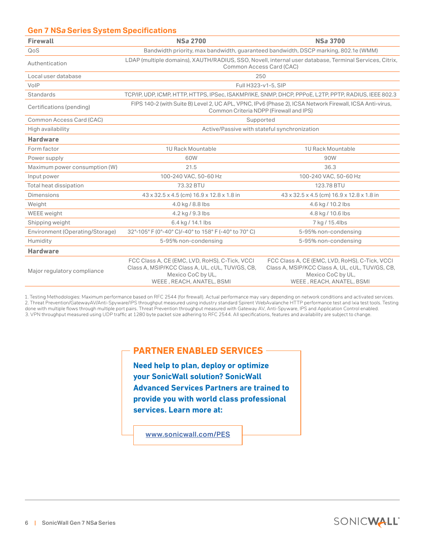## **Gen 7 NS***a* **Series System Specifications**

| <b>Firewall</b>                 | <b>NSa 2700</b>                                                                                                                                     | <b>NSa 3700</b>                                                                                                                                     |  |
|---------------------------------|-----------------------------------------------------------------------------------------------------------------------------------------------------|-----------------------------------------------------------------------------------------------------------------------------------------------------|--|
| QoS                             | Bandwidth priority, max bandwidth, quaranteed bandwidth, DSCP marking, 802.1e (WMM)                                                                 |                                                                                                                                                     |  |
| Authentication                  | LDAP (multiple domains), XAUTH/RADIUS, SSO, Novell, internal user database, Terminal Services, Citrix,<br>Common Access Card (CAC)                  |                                                                                                                                                     |  |
| Local user database             | 250                                                                                                                                                 |                                                                                                                                                     |  |
| VoIP                            | Full H323-v1-5, SIP                                                                                                                                 |                                                                                                                                                     |  |
| Standards                       | TCP/IP, UDP, ICMP, HTTP, HTTPS, IPSec, ISAKMP/IKE, SNMP, DHCP, PPPoE, L2TP, PPTP, RADIUS, IEEE 802.3                                                |                                                                                                                                                     |  |
| Certifications (pending)        | FIPS 140-2 (with Suite B) Level 2, UC APL, VPNC, IPv6 (Phase 2), ICSA Network Firewall, ICSA Anti-virus,<br>Common Criteria NDPP (Firewall and IPS) |                                                                                                                                                     |  |
| Common Access Card (CAC)        | Supported                                                                                                                                           |                                                                                                                                                     |  |
| High availability               | Active/Passive with stateful synchronization                                                                                                        |                                                                                                                                                     |  |
| <b>Hardware</b>                 |                                                                                                                                                     |                                                                                                                                                     |  |
| Form factor                     | 1U Rack Mountable                                                                                                                                   | 1U Rack Mountable                                                                                                                                   |  |
| Power supply                    | 60W                                                                                                                                                 | 90W                                                                                                                                                 |  |
| Maximum power consumption (W)   | 21.5                                                                                                                                                | 36.3                                                                                                                                                |  |
| Input power                     | 100-240 VAC, 50-60 Hz                                                                                                                               | 100-240 VAC, 50-60 Hz                                                                                                                               |  |
| Total heat dissipation          | 73.32 BTU                                                                                                                                           | 123.78 BTU                                                                                                                                          |  |
| <b>Dimensions</b>               | 43 x 32.5 x 4.5 (cm) 16.9 x 12.8 x 1.8 in                                                                                                           | 43 x 32.5 x 4.5 (cm) 16.9 x 12.8 x 1.8 in                                                                                                           |  |
| Weight                          | 4.0 kg / 8.8 lbs                                                                                                                                    | 4.6 kg / 10.2 lbs                                                                                                                                   |  |
| WEEE weight                     | 4.2 kg / 9.3 lbs                                                                                                                                    | 4.8 kg / 10.6 lbs                                                                                                                                   |  |
| Shipping weight                 | 6.4 kg / 14.1 lbs                                                                                                                                   | 7 kg / 15.4lbs                                                                                                                                      |  |
| Environment (Operating/Storage) | 32°-105° F (0°-40° C)/-40° to 158° F (-40° to 70° C)                                                                                                | 5-95% non-condensing                                                                                                                                |  |
| Humidity                        | 5-95% non-condensing                                                                                                                                | 5-95% non-condensing                                                                                                                                |  |
| <b>Hardware</b>                 |                                                                                                                                                     |                                                                                                                                                     |  |
| Major regulatory compliance     | FCC Class A, CE (EMC, LVD, RoHS), C-Tick, VCCI<br>Class A, MSIP/KCC Class A, UL, cUL, TUV/GS, CB,<br>Mexico CoC by UL,<br>WEEE, REACH, ANATEL, BSMI | FCC Class A, CE (EMC, LVD, RoHS), C-Tick, VCCI<br>Class A, MSIP/KCC Class A, UL, cUL, TUV/GS, CB,<br>Mexico CoC by UL,<br>WEEE, REACH, ANATEL, BSMI |  |

1. Testing Methodologies: Maximum performance based on RFC 2544 (for firewall). Actual performance may vary depending on network conditions and activated services. 2. Threat Prevention/GatewayAV/Anti-Spyware/IPS throughput measured using industry standard Spirent WebAvalanche HTTP performance test and Ixia test tools. Testing done with multiple flows through multiple port pairs. Threat Prevention throughput measured with Gateway AV, Anti-Spyware, IPS and Application Control enabled. 3. VPN throughput measured using UDP traffic at 1280 byte packet size adhering to RFC 2544. All specifications, features and availability are subject to change.

# **PARTNER ENABLED SERVICES**

**Need help to plan, deploy or optimize your SonicWall solution? SonicWall Advanced Services Partners are trained to provide you with world class professional services. Learn more at:**

www.sonicwall.com/PES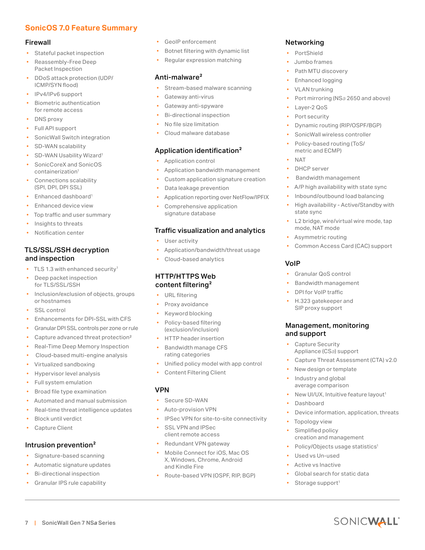# **SonicOS 7.0 Feature Summary**

#### Firewall

- Stateful packet inspection
- Reassembly-Free Deep Packet Inspection
- DDoS attack protection (UDP/ ICMP/SYN flood)
- IPv4/IPv6 support
- Biometric authentication for remote access
- DNS proxy
- Full API support
- SonicWall Switch integration
- SD-WAN scalability
- SD-WAN Usability Wizard<sup>1</sup>
- SonicCoreX and SonicOS containerization1
- Connections scalability (SPI, DPI, DPI SSL)
- Enhanced dashboard<sup>1</sup>
- Enhanced device view
- Top traffic and user summary
- Insights to threats
- Notification center

# TLS/SSL/SSH decryption and inspection

- TLS 1.3 with enhanced security<sup>1</sup>
- Deep packet inspection for TLS/SSL/SSH
- Inclusion/exclusion of objects, groups or hostnames
- SSL control
- Enhancements for DPI-SSL with CFS
- Granular DPI SSL controls per zone or rule
- Capture advanced threat protection<sup>2</sup>
- Real-Time Deep Memory Inspection
- Cloud-based multi-engine analysis
- Virtualized sandboxing
- Hypervisor level analysis
- Full system emulation
- Broad file type examination
- Automated and manual submission
- Real-time threat intelligence updates
- **Block until verdict**
- Capture Client

# Intrusion prevention<sup>2</sup>

- Signature-based scanning
- Automatic signature updates
- Bi-directional inspection
- Granular IPS rule capability

7 | SonicWall Gen 7 NS*a* Series

- GeoIP enforcement
- Botnet filtering with dynamic list
- Regular expression matching

#### Anti-malware<sup>2</sup>

- Stream-based malware scanning
- Gateway anti-virus
- Gateway anti-spyware
- Bi-directional inspection
- No file size limitation
- Cloud malware database

#### Application identification2

- Application control
- Application bandwidth management
- Custom application signature creation
- Data leakage prevention
- Application reporting over NetFlow/IPFIX
- Comprehensive application signature database

#### Traffic visualization and analytics

- User activity
- Application/bandwidth/threat usage
- Cloud-based analytics

#### HTTP/HTTPS Web content filtering<sup>2</sup>

- URL filtering
- Proxy avoidance
- Keyword blocking
- Policy-based filtering (exclusion/inclusion)
- HTTP header insertion
- Bandwidth manage CFS rating categories
- Unified policy model with app control
- Content Filtering Client

# VPN

- Secure SD-WAN
- Auto-provision VPN
- IPSec VPN for site-to-site connectivity
- SSL VPN and IPSec client remote access
- Redundant VPN gateway
- Mobile Connect for iOS, Mac OS X, Windows, Chrome, Android and Kindle Fire
- Route-based VPN (OSPF, RIP, BGP)

# Networking

- **PortShield**
- Jumbo frames
- Path MTU discovery
- Enhanced logging
- VLAN trunking
- Port mirroring (NS*a* 2650 and above)
- Layer-2 QoS
- Port security
- Dynamic routing (RIP/OSPF/BGP)
- SonicWall wireless controller
- Policy-based routing (ToS/ metric and ECMP)

#### • NAT

VoIP

- DHCP server
- Bandwidth management
- A/P high availability with state sync
- Inbound/outbound load balancing
- High availability Active/Standby with state sync
- L2 bridge, wire/virtual wire mode, tap mode, NAT mode

• Common Access Card (CAC) support

• Capture Threat Assessment (CTA) v2.0

New UI/UX, Intuitive feature layout<sup>1</sup>

• Device information, application, threats

SONICWALL

• Asymmetric routing

• Granular QoS control • Bandwidth management • DPI for VoIP traffic • H.323 gatekeeper and SIP proxy support

Management, monitoring

New design or template • Industry and global average comparison

creation and management Policy/Objects usage statistics<sup>1</sup>

Global search for static data

and support

• Dashboard

• Topology view Simplified policy

Used vs Un-used • Active vs Inactive

Storage support<sup>1</sup>

Capture Security Appliance (CS*a*) support